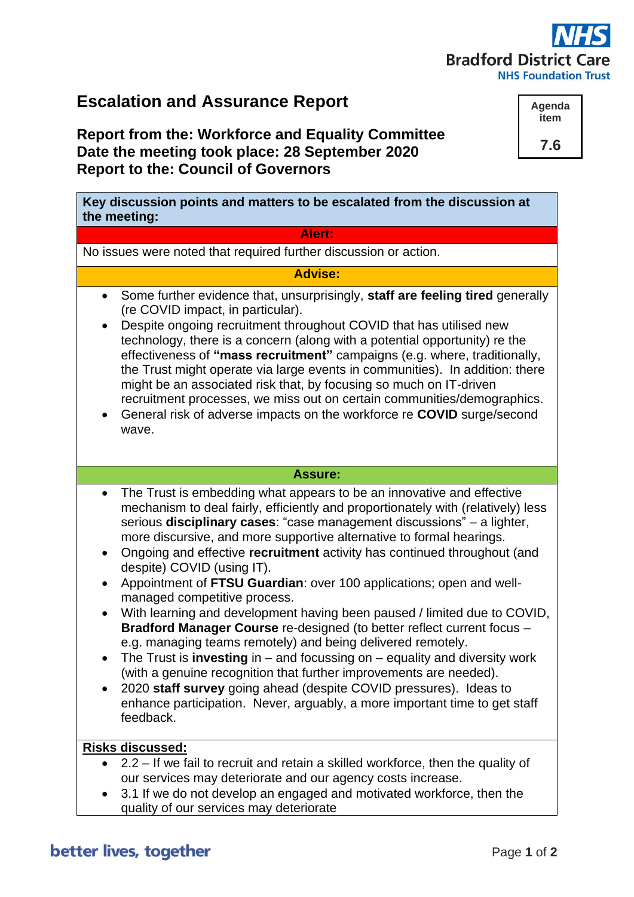# **Bradford District C NHS Foundation Trust**

### **Escalation and Assurance Report**

#### **Report from the: Workforce and Equality Committee Date the meeting took place: 28 September 2020 Report to the: Council of Governors**

**Key discussion points and matters to be escalated from the discussion at the meeting:**

#### **Alert:**

No issues were noted that required further discussion or action.

#### **Advise:**

- Some further evidence that, unsurprisingly, **staff are feeling tired** generally (re COVID impact, in particular).
- Despite ongoing recruitment throughout COVID that has utilised new technology, there is a concern (along with a potential opportunity) re the effectiveness of **"mass recruitment"** campaigns (e.g. where, traditionally, the Trust might operate via large events in communities). In addition: there might be an associated risk that, by focusing so much on IT-driven recruitment processes, we miss out on certain communities/demographics.
- General risk of adverse impacts on the workforce re **COVID** surge/second wave.

#### **Assure:**

- The Trust is embedding what appears to be an innovative and effective mechanism to deal fairly, efficiently and proportionately with (relatively) less serious **disciplinary cases**: "case management discussions" – a lighter, more discursive, and more supportive alternative to formal hearings.
- Ongoing and effective **recruitment** activity has continued throughout (and despite) COVID (using IT).
- Appointment of **FTSU Guardian**: over 100 applications; open and wellmanaged competitive process.
- With learning and development having been paused / limited due to COVID, **Bradford Manager Course** re-designed (to better reflect current focus – e.g. managing teams remotely) and being delivered remotely.
- The Trust is **investing** in and focussing on equality and diversity work (with a genuine recognition that further improvements are needed).
- 2020 **staff survey** going ahead (despite COVID pressures). Ideas to enhance participation. Never, arguably, a more important time to get staff feedback.

#### **Risks discussed:**

- 2.2 If we fail to recruit and retain a skilled workforce, then the quality of our services may deteriorate and our agency costs increase.
- 3.1 If we do not develop an engaged and motivated workforce, then the quality of our services may deteriorate